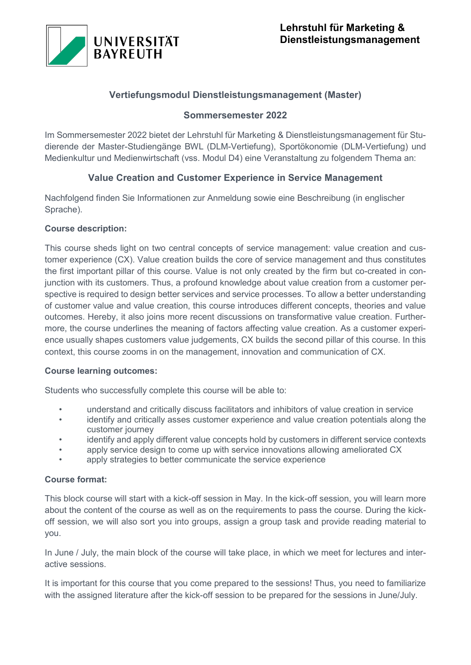

# **Vertiefungsmodul Dienstleistungsmanagement (Master)**

## **Sommersemester 2022**

Im Sommersemester 2022 bietet der Lehrstuhl für Marketing & Dienstleistungsmanagement für Studierende der Master-Studiengänge BWL (DLM-Vertiefung), Sportökonomie (DLM-Vertiefung) und Medienkultur und Medienwirtschaft (vss. Modul D4) eine Veranstaltung zu folgendem Thema an:

# **Value Creation and Customer Experience in Service Management**

Nachfolgend finden Sie Informationen zur Anmeldung sowie eine Beschreibung (in englischer Sprache).

## **Course description:**

This course sheds light on two central concepts of service management: value creation and customer experience (CX). Value creation builds the core of service management and thus constitutes the first important pillar of this course. Value is not only created by the firm but co-created in conjunction with its customers. Thus, a profound knowledge about value creation from a customer perspective is required to design better services and service processes. To allow a better understanding of customer value and value creation, this course introduces different concepts, theories and value outcomes. Hereby, it also joins more recent discussions on transformative value creation. Furthermore, the course underlines the meaning of factors affecting value creation. As a customer experience usually shapes customers value judgements, CX builds the second pillar of this course. In this context, this course zooms in on the management, innovation and communication of CX.

## **Course learning outcomes:**

Students who successfully complete this course will be able to:

- understand and critically discuss facilitators and inhibitors of value creation in service
- identify and critically asses customer experience and value creation potentials along the customer journey
- identify and apply different value concepts hold by customers in different service contexts
- apply service design to come up with service innovations allowing ameliorated CX
- apply strategies to better communicate the service experience

## **Course format:**

This block course will start with a kick-off session in May. In the kick-off session, you will learn more about the content of the course as well as on the requirements to pass the course. During the kickoff session, we will also sort you into groups, assign a group task and provide reading material to you.

In June / July, the main block of the course will take place, in which we meet for lectures and interactive sessions.

It is important for this course that you come prepared to the sessions! Thus, you need to familiarize with the assigned literature after the kick-off session to be prepared for the sessions in June/July.